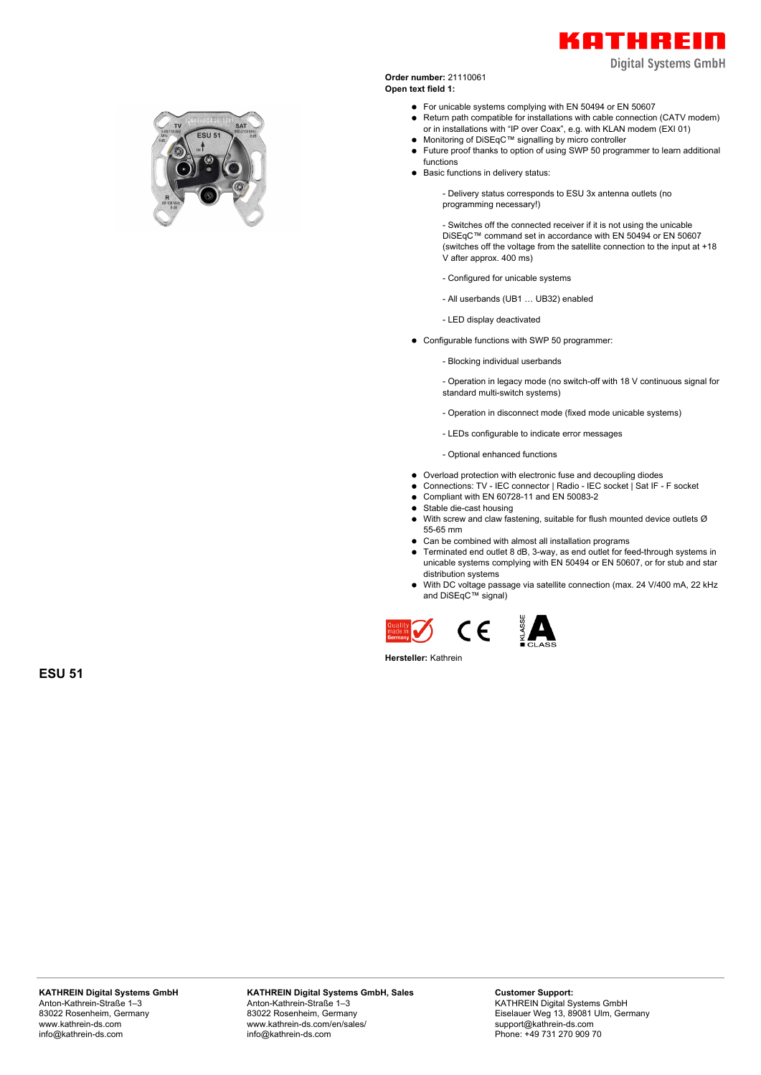

**Digital Systems GmbH** 



**Order number:** 21110061 **Open text field 1:**

- For unicable systems complying with EN 50494 or EN 50607
- Return path compatible for installations with cable connection (CATV modem) or in installations with "IP over Coax", e.g. with KLAN modem (EXI 01)
- Monitoring of DiSEqC™ signalling by micro controller
- Future proof thanks to option of using SWP 50 programmer to learn additional functions
- Basic functions in delivery status:

- Delivery status corresponds to ESU 3x antenna outlets (no programming necessary!)

- Switches off the connected receiver if it is not using the unicable DiSEqC™ command set in accordance with EN 50494 or EN 50607 (switches off the voltage from the satellite connection to the input at +18 V after approx. 400 ms)

- Configured for unicable systems
- All userbands (UB1 … UB32) enabled

- LED display deactivated

- Configurable functions with SWP 50 programmer:
	- Blocking individual userbands

- Operation in legacy mode (no switch-off with 18 V continuous signal for standard multi-switch systems)

- Operation in disconnect mode (fixed mode unicable systems)
- LEDs configurable to indicate error messages

- Optional enhanced functions

- Overload protection with electronic fuse and decoupling diodes
- Connections: TV IEC connector | Radio IEC socket | Sat IF F socket
- Compliant with EN 60728-11 and EN 50083-2
- Stable die-cast housing  $\bullet$
- $\bullet$ With screw and claw fastening, suitable for flush mounted device outlets Ø 55-65 mm
- Can be combined with almost all installation programs
- Terminated end outlet 8 dB, 3-way, as end outlet for feed-through systems in unicable systems complying with EN 50494 or EN 50607, or for stub and star distribution systems
- With DC voltage passage via satellite connection (max. 24 V/400 mA, 22 kHz and DiSEqC™ signal)





**Hersteller:** Kathrein

**ESU 51**

**KATHREIN Digital Systems GmbH, Sales** Anton-Kathrein-Straße 1–3 83022 Rosenheim, Germany www.kathrein-ds.com/en/sales/ info@kathrein-ds.com

**Customer Support:** KATHREIN Digital Systems GmbH Eiselauer Weg 13, 89081 Ulm, Germany support@kathrein-ds.com Phone: +49 731 270 909 70